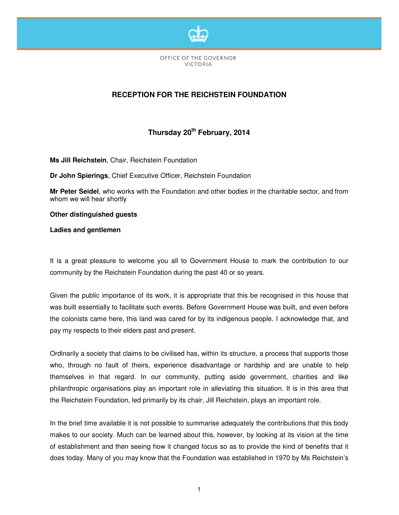

OFFICE OF THE GOVERNOR VICTORIA

## **RECEPTION FOR THE REICHSTEIN FOUNDATION**

## **Thursday 20th February, 2014**

**Ms Jill Reichstein**, Chair, Reichstein Foundation

**Dr John Spierings**, Chief Executive Officer, Reichstein Foundation

**Mr Peter Seidel**, who works with the Foundation and other bodies in the charitable sector, and from whom we will hear shortly

**Other distinguished guests** 

**Ladies and gentlemen** 

It is a great pleasure to welcome you all to Government House to mark the contribution to our community by the Reichstein Foundation during the past 40 or so years.

Given the public importance of its work, it is appropriate that this be recognised in this house that was built essentially to facilitate such events. Before Government House was built, and even before the colonists came here, this land was cared for by its indigenous people. I acknowledge that, and pay my respects to their elders past and present.

Ordinarily a society that claims to be civilised has, within its structure, a process that supports those who, through no fault of theirs, experience disadvantage or hardship and are unable to help themselves in that regard. In our community, putting aside government, charities and like philanthropic organisations play an important role in alleviating this situation. It is in this area that the Reichstein Foundation, led primarily by its chair, Jill Reichstein, plays an important role.

In the brief time available it is not possible to summarise adequately the contributions that this body makes to our society. Much can be learned about this, however, by looking at its vision at the time of establishment and then seeing how it changed focus so as to provide the kind of benefits that it does today. Many of you may know that the Foundation was established in 1970 by Ms Reichstein's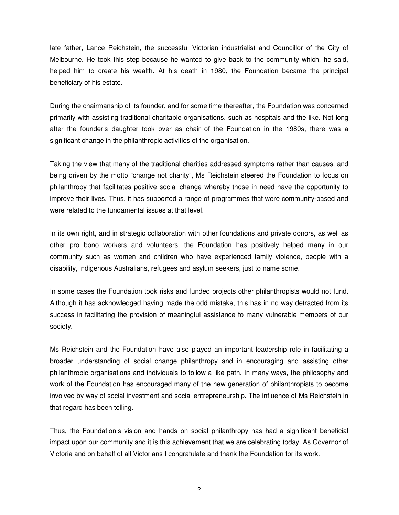late father, Lance Reichstein, the successful Victorian industrialist and Councillor of the City of Melbourne. He took this step because he wanted to give back to the community which, he said, helped him to create his wealth. At his death in 1980, the Foundation became the principal beneficiary of his estate.

During the chairmanship of its founder, and for some time thereafter, the Foundation was concerned primarily with assisting traditional charitable organisations, such as hospitals and the like. Not long after the founder's daughter took over as chair of the Foundation in the 1980s, there was a significant change in the philanthropic activities of the organisation.

Taking the view that many of the traditional charities addressed symptoms rather than causes, and being driven by the motto "change not charity", Ms Reichstein steered the Foundation to focus on philanthropy that facilitates positive social change whereby those in need have the opportunity to improve their lives. Thus, it has supported a range of programmes that were community-based and were related to the fundamental issues at that level.

In its own right, and in strategic collaboration with other foundations and private donors, as well as other pro bono workers and volunteers, the Foundation has positively helped many in our community such as women and children who have experienced family violence, people with a disability, indigenous Australians, refugees and asylum seekers, just to name some.

In some cases the Foundation took risks and funded projects other philanthropists would not fund. Although it has acknowledged having made the odd mistake, this has in no way detracted from its success in facilitating the provision of meaningful assistance to many vulnerable members of our society.

Ms Reichstein and the Foundation have also played an important leadership role in facilitating a broader understanding of social change philanthropy and in encouraging and assisting other philanthropic organisations and individuals to follow a like path. In many ways, the philosophy and work of the Foundation has encouraged many of the new generation of philanthropists to become involved by way of social investment and social entrepreneurship. The influence of Ms Reichstein in that regard has been telling.

Thus, the Foundation's vision and hands on social philanthropy has had a significant beneficial impact upon our community and it is this achievement that we are celebrating today. As Governor of Victoria and on behalf of all Victorians I congratulate and thank the Foundation for its work.

2